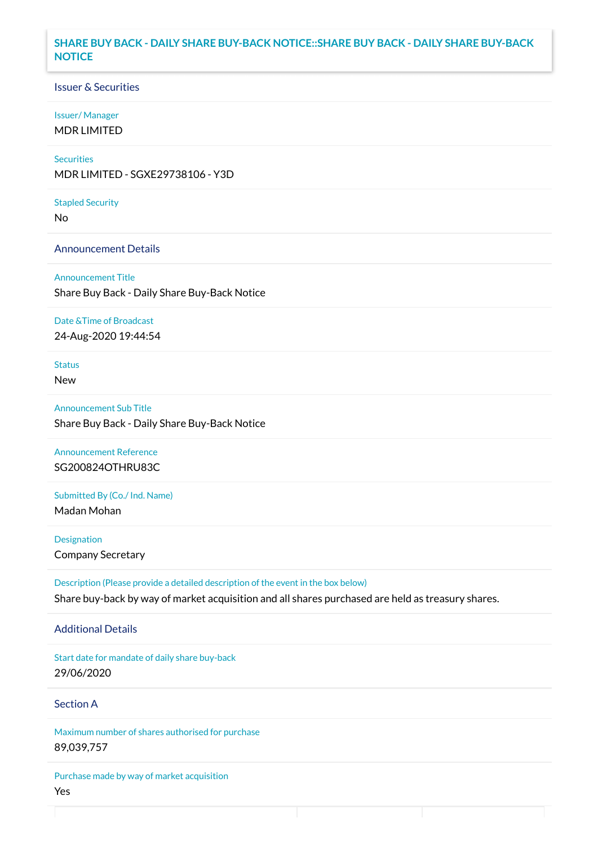## **SHARE BUY BACK - DAILY SHARE BUY-BACK NOTICE::SHARE BUY BACK - DAILY SHARE BUY-BACK NOTICE**

### Issuer & Securities

#### Issuer/ Manager

MDR LIMITED

# **Securities**

MDR LIMITED - SGXE29738106 - Y3D

#### Stapled Security

No

#### Announcement Details

Announcement Title Share Buy Back - Daily Share Buy-Back Notice

#### Date &Time of Broadcast

24-Aug-2020 19:44:54

# Status

New

# Announcement Sub Title Share Buy Back - Daily Share Buy-Back Notice

Announcement Reference SG200824OTHRU83C

# Submitted By (Co./ Ind. Name)

Madan Mohan

**Designation** Company Secretary

Description (Please provide a detailed description of the event in the box below) Share buy-back by way of market acquisition and all shares purchased are held as treasury shares.

#### Additional Details

Start date for mandate of daily share buy-back 29/06/2020

## Section A

Maximum number of shares authorised for purchase 89,039,757

Purchase made by way of market acquisition Yes